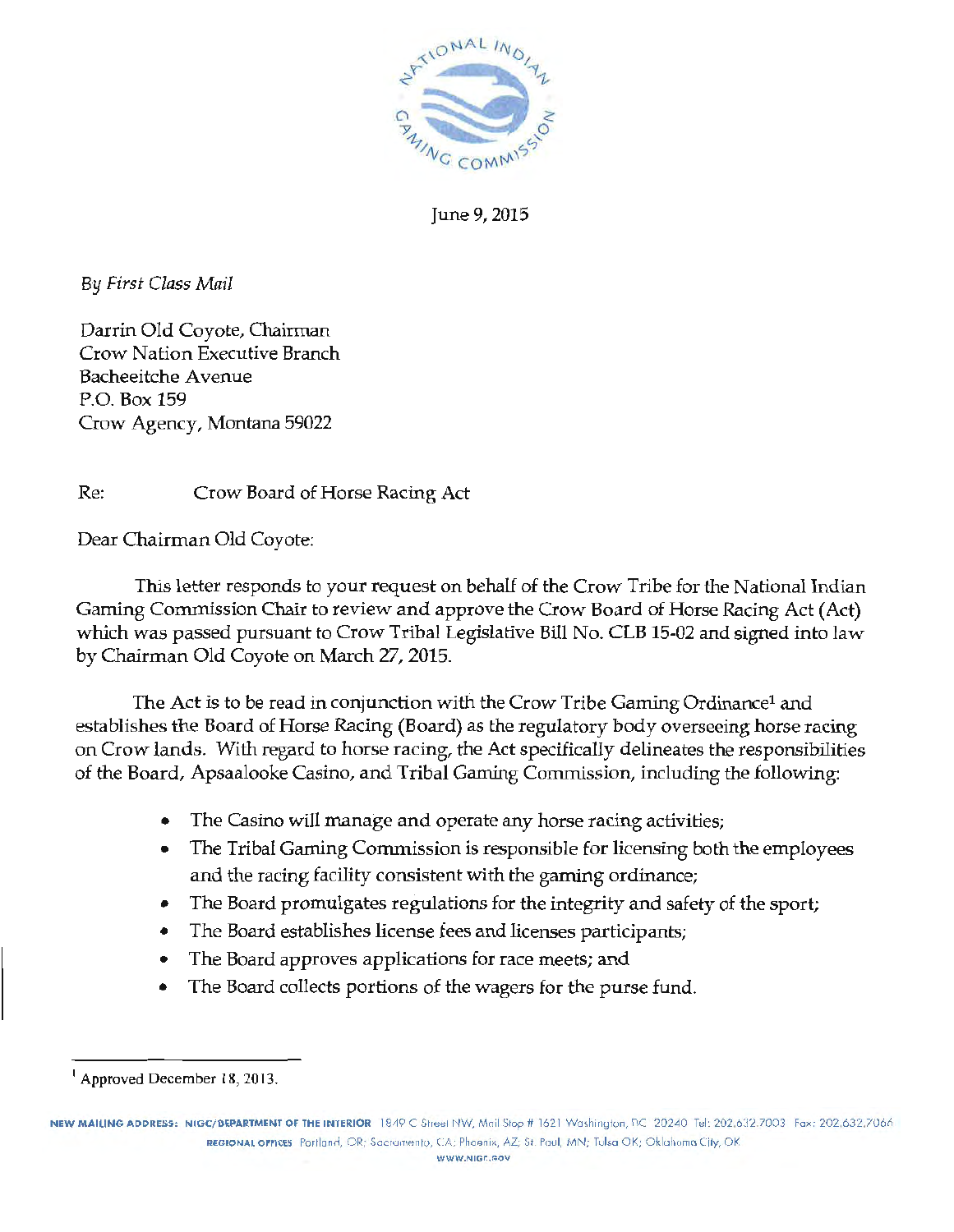

June 9, 2015

By *First Class Mail* 

Darrin Old Coyote, Chairman Crow Nation Executive Branch Bacheeitche Avenue P.O. Box 159 Crow Agency, Montana 59022

Re: Crow Board of Horse Racing Act

Dear Chairman Old Coyote:

This letter responds to your request on behalf of the Crow Tribe for the National Indian Gaming Commission Chair to review and approve the Crow Board of Horse Racing Act (Act) which was passed pursuant to Crow Tribal Legislative Bill No. CLB 15-02 and signed into law by Chairman Old Coyote on March 27, 2015.

The Act is to be read in conjunction with the Crow Tribe Gaming Ordinancel and establishes the Board of Horse Racing (Board) as the regulatory body overseeing horse racing on Crow lands. With regard to horse racing, the Act specifically delineates the responsibilities of the Board, Apsaalooke Casino, and Tribal Gaming Commission, including the following:

- The Casino will manage and operate any horse racing activities;
- The Tribal Gaming Cormnission is responsible for licensing both the employees and the racing facility consistent with the gaming ordinance;
- The Board promulgates regulations for the integrity and safety of the sport;
- The Board establishes license fees and licenses participants;
- The Board approves applications for race meets; and
- The Board collects portions of the wagers for the purse fund.

NEW MAILING ADDRESS: NIGC/DEPARTMENT OF THE INTERIOR 1849 C Street NW, Mail Stop # 1621 Washington, DC 20240 Tel: 202.632.7003 Fax: 202.632.7006 REGIONAL OFFICES Portland, OR; Sacramento, CA; Phoenix, AZ; St. Paul, MN; Tulsa OK; Oklahoma City, OK **WWW.NIGC,GOV** 

<sup>&</sup>lt;sup>1</sup> Approved December 18, 2013.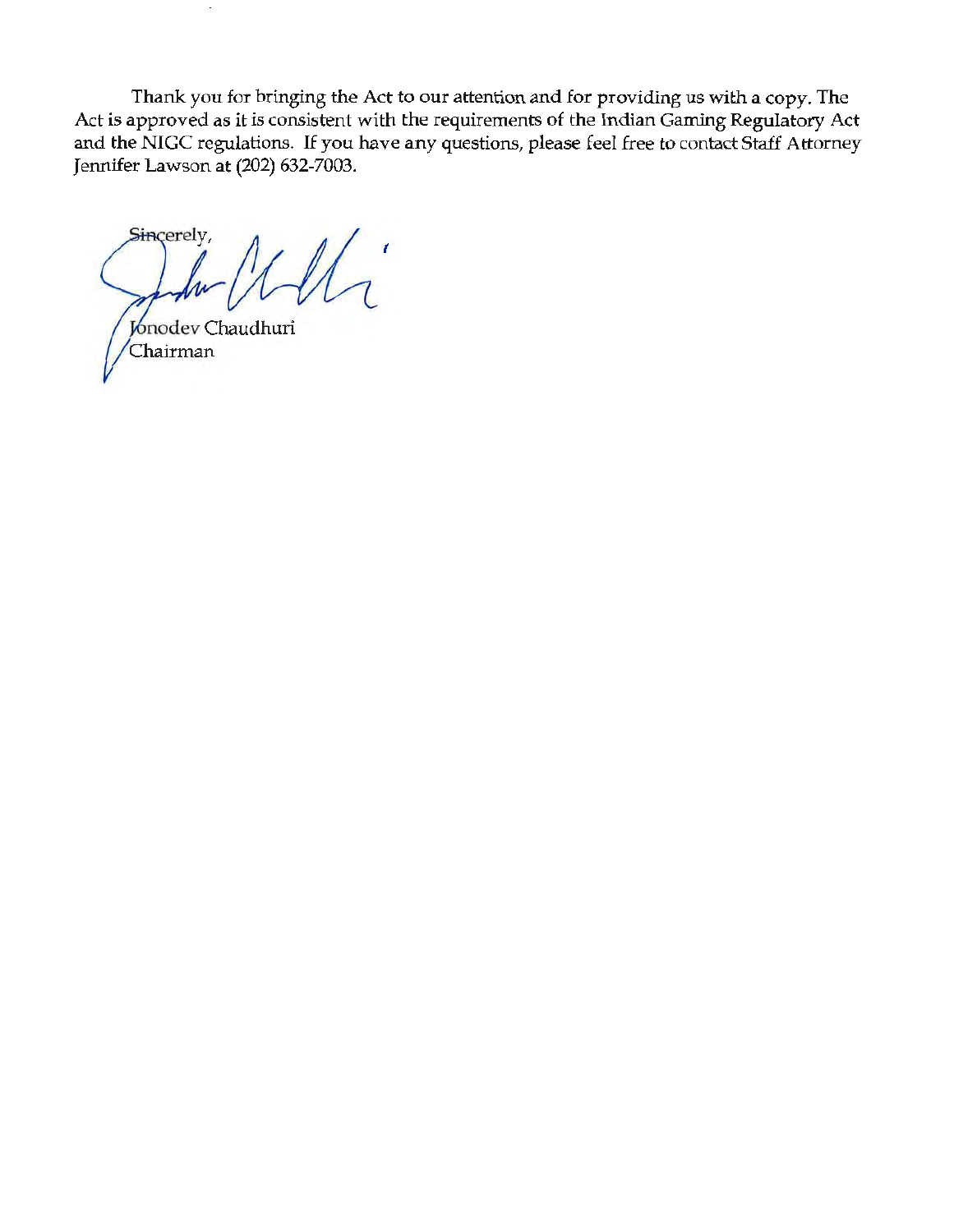Thank you for bringing the Act to our attention and for providing us with a copy. The Act is approved as it is consistent with the requirements of the Indian Gaming Regulatory Act and the NIGC regulations. If you have any questions, please feel free to contact Staff Attorney Jennifer Lawson at (202) 632-7003.

Sincerely, ( Jonodev Chaudhuri

Chairman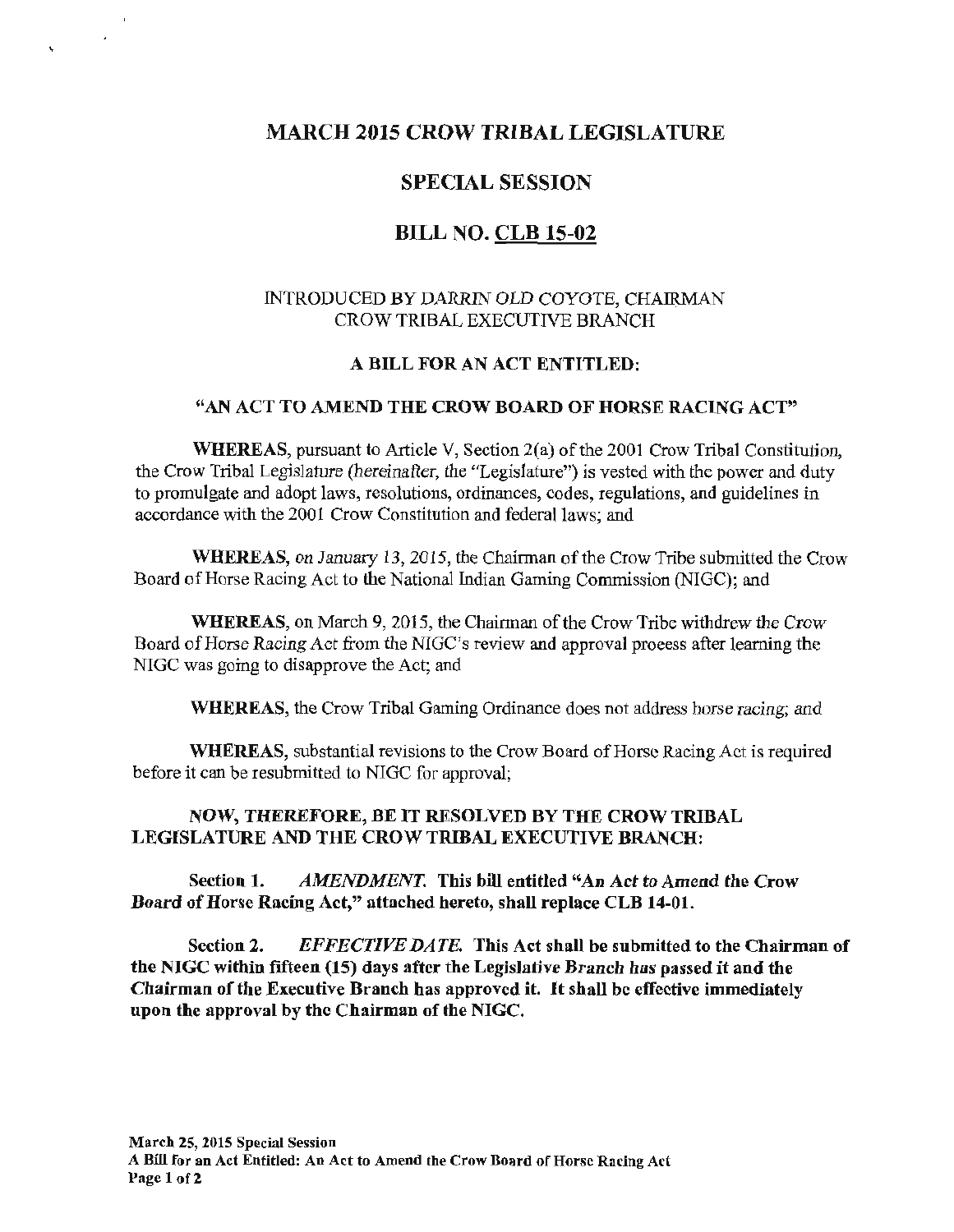# MARCH 2015 CROW TRIBAL LEGISLATURE

# SPECIAL SESSION

# BILL NO. CLB 15-02

## INTRODUCED BY DARRIN OLD COYOTE, CHAIRMAN CROW TRIBAL EXECUTIVE BRANCH

#### A BILL FOR AN ACT ENTITLED:

#### "AN ACT TO AMEND THE CROW BOARD OF HORSE RACING ACT"

WHEREAS, pursuant to Article V, Section  $2(a)$  of the 2001 Crow Tribal Constitution, the Crow Tribal Legislature (hereinafter, the "Legislature") is vested with the power and duty to promulgate and adopt laws, resolutions, ordinances, codes, regulations, and guidelines in accordance with the 2001 Crow Constitution and federal laws; and

WHEREAS, on January 13, 2015, the Chairman of the Crow Tribe submitted the Crow Board of Horse Racing Act to the National Indian Gaming Commission (NIGC); and

WHEREAS, on March 9, 2015, the Chairman of the Crow Tribe withdrew the Crow Board of Horse Racing Act from the NIGC's review and approval process after learning the NIGC was going to disapprove the Act; and

WHEREAS, the Crow Tribal Gaming Ordinance does not address horse racing; and

WHEREAS, substantial revisions to the Crow Board of Horse Racing Act is required before it can be resubmitted to NIGC for approval;

#### NOW, THEREFORE, BE IT RESOLVED BY THE CROW TRIBAL LEGISLATURE AND THE CROW TRIBAL EXECUTIVE BRANCH:

Section 1. *AMENDMENT.* This bill entitled "An Act to Amend the Crow Board of Horse Racing Act," attached hereto, shall replace CLB 14-01.

Section 2. *EFFECTIVE DATE.* This Act shall be submitted to the Chairman of the NIGC within fifteen (15) days after the Legislative Branch has passed it and the Chairman of the Executive Branch has approved it. It shall be effective immediately upon the approval by the Chairman of the NIGC.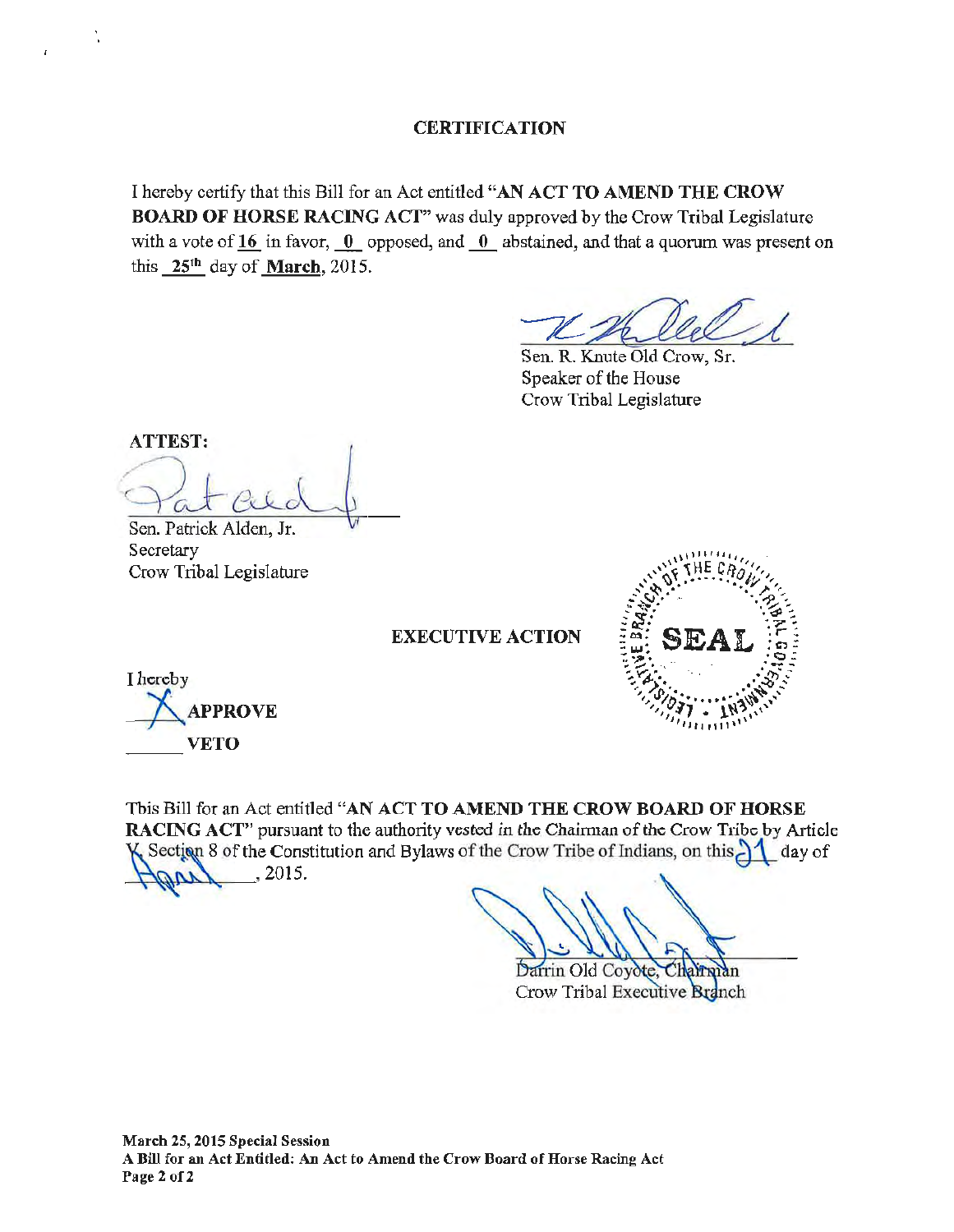#### **CERTIFICATION**

I hereby certify that this Bill for an Act entitled "AN ACT TO AMEND THE CROW BOARD OF HORSE RACING ACT" was duly approved by the Crow Tribal Legislature with a vote of 16 in favor,  $0$  opposed, and  $0$  abstained, and that a quorum was present on this 25th day of March, 2015. **O AMEND THE CROW**<br>by the Crow Tribal Legislature<br>and that a quorum was present on<br>Knute Old Crow, Sr.<br>of the House

Sen. R. Knute Old Crow, Sr. Speaker of the House Crow Tribal Legislature

ATTEST: Sen. Patrick Alden, Jr.

Secretary Crow Tribal Legislature

. .

 $\mathbf{r}$ 

EXECUTIVE ACTION



I hereby NAPPROVE

This Bill for an Act entitled "AN ACT TO AMEND THE CROW BOARD OF HORSE RACING ACT" pursuant to the authority vested in the Chairman of the Crow Tribe by Article Section 8 of the Constitution and Bylaws of the Crow Tribe of Indians, on this  $\frac{1}{\sqrt{2}}$  day of  $H(M)$ , 2015.

Darrin Old Coyote

Crow Tribal Executive Branch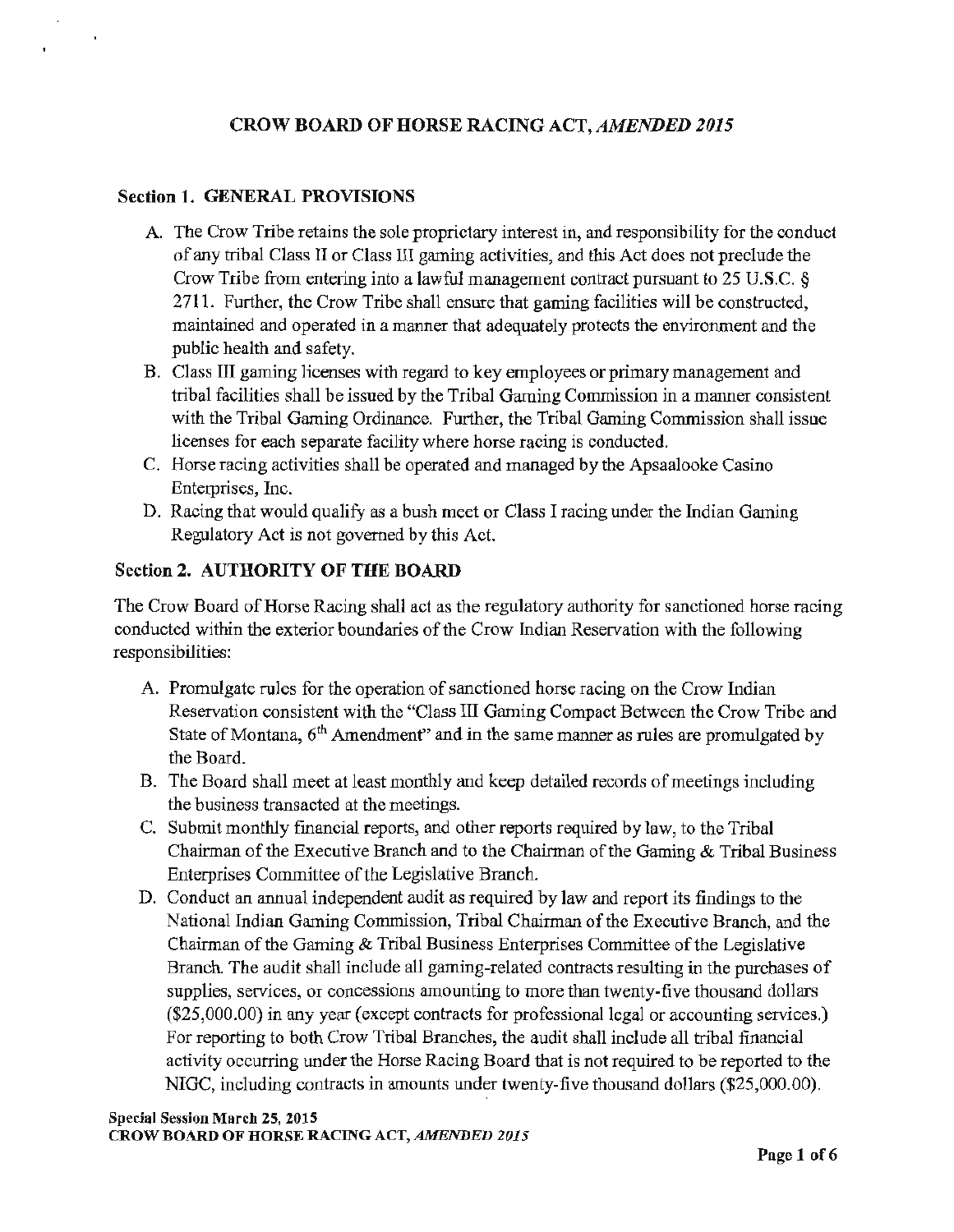# CROW BOARD OF HORSE RACING ACT, *AMENDED 2015*

### Section 1. GENERAL PROVISIONS

- A. The Crow Tribe retains the sole proprietary interest in, and responsibility for the conduct of any tribal Class II or Class III gaming activities, and this Act docs not preclude the Crow Tribe from entering into a lawful management contract pursuant to 25 U.S.C. § 2711. Further, the Crow Tribe shall ensure that gaming facilities will be constructed, maintained and operated in a manner that adequately protects the environment and the public health and safety.
- B. Class III gaming licenses with regard to key employees or primary management and tribal facilities shall be issued by the Tribal Gaming Commission in a manner consistent with the Tribal Gaming Ordinance. Further, the Tribal Gaming Commission shall issue licenses for each separate facility where horse racing is conducted.
- C. Horse racing activities shall be operated and managed by the Apsaalooke Casino Enterprises, Inc.
- D. Racing that would qualify as a bush meet or Class I racing under the Indian Gaming Regulatory Act is not governed by this Act.

## Section 2. AUTHORITY OF THE BOARD

The Crow Board of Horse Racing shall act as the regulatory authority for sanctioned horse racing conducted within the exterior boundaries of the Crow Indian Reservation with the following responsibilities:

- A. Promulgate rules for the operation of sanctioned horse racing on the Crow Indian Reservation consistent with the "Class III Gaming Compact Between the Crow Tribe and State of Montana,  $6<sup>th</sup>$  Amendment" and in the same manner as rules are promulgated by the Board.
- B. The Board shall meet at least monthly and keep detailed records of meetings including the business transacted at the meetings.
- C. Submit monthly financial reports, and other reports required by law, to the Tribal Chairman of the Executive Branch and to the Chairman of the Gaming & Tribal Business Enterprises Committee of the Legislative Branch.
- D. Conduct an annual independent audit as required by law and report its findings to the National Indian Gaming Commission, Tribal Chairman of the Executive Branch, and the Chairman of the Gaming & Tribal Business Enterprises Committee of the Legislative Branch. The audit shall include all gaming-related contracts resulting in the purchases of supplies, services, or concessions amounting to more than twenty-five thousand dollars (\$25,000.00) in any year (except contracts for professional legal or accounting services.) For reporting to both Crow Tribal Branches, the audit shall include all tribal financial activity occurring under the Horse Racing Board that is not required to be reported to the NIGC, including contracts in amounts under twenty-five thousand dollars (\$25,000.00).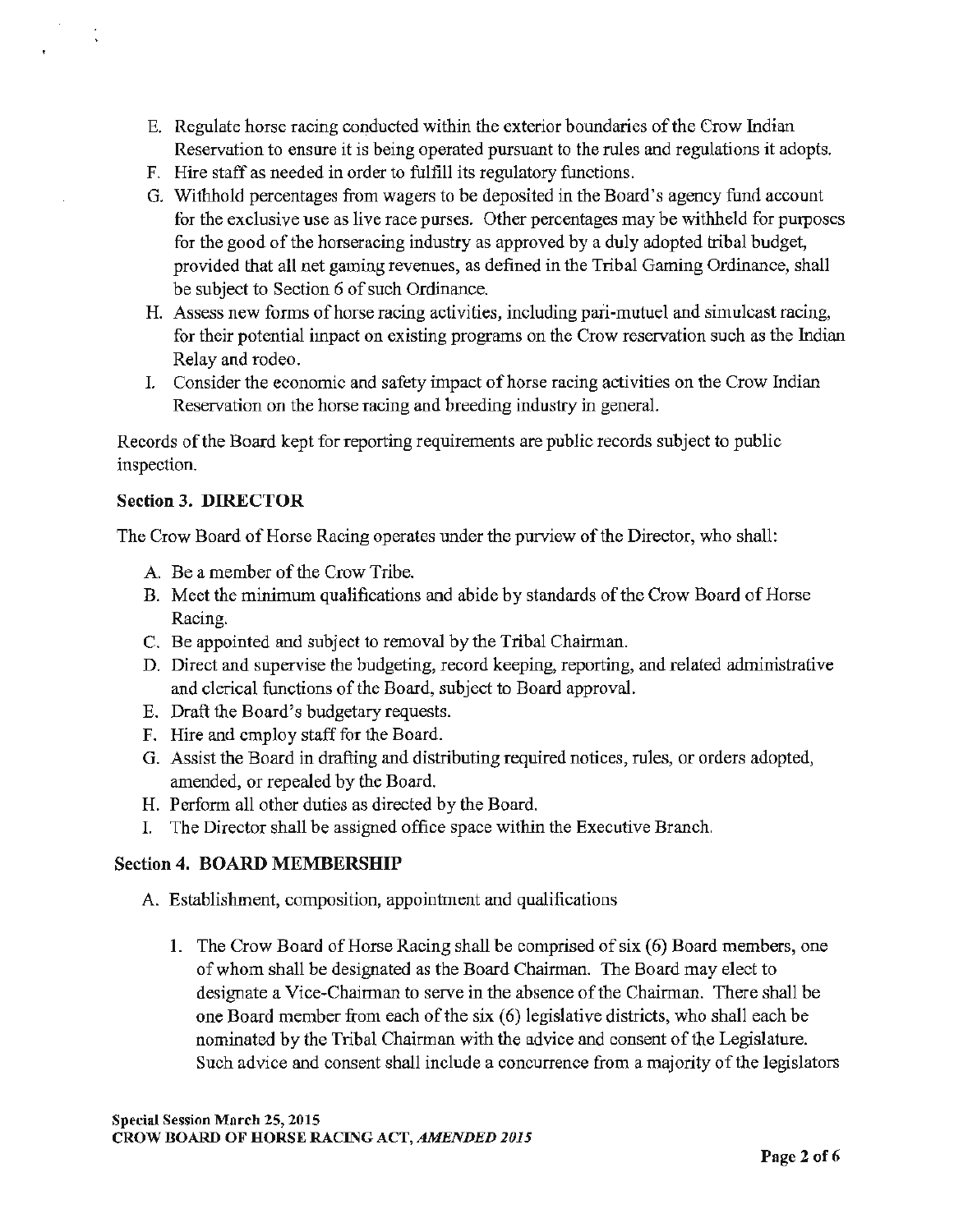- E. Regulate horse racing conducted within the exterior boundaries of the Crow Indian Reservation to ensure it is being operated pursuant to the rules and regulations it adopts.
- F. Hire staff as needed in order to fulfill its regulatory functions.
- G. Withhold percentages from wagers to be deposited in the Board's agency fund account for the exclusive use as live race purses. Other percentages may be withheld for purposes for the good of the horseracing industry as approved by a duly adopted tribal budget, provided that all net gaming revenues, as defined in the Tribal Gaming Ordinance, shall be subject to Section 6 of such Ordinance.
- H. Assess new forms of horse racing activities, including pari-mutuel and simulcast racing, for their potential impact on existing programs on the Crow reservation such as the Indian Relay and rodeo.
- I. Consider the economic and safety impact of horse racing activities on the Crow Indian Reservation on the horse racing and breeding industry in general.

Records of the Board kept for reporting requirements are public records subject to public inspection.

## Section 3. DIRECTOR

The Crow Board of Horse Racing operates under the purview of the Director, who shall:

- A. Be a member of the Crow Tribe.
- B. Meet the minimum qualifications and abide by standards of the Crow Board of Horse Racing.
- C. Be appointed and subject to removal by the Tribal Chairman.
- D. Direct and supervise the budgeting, record keeping, reporting, and related administrative and clerical functions of the Board, subject to Board approval.
- E. Draft the Board's budgetary requests.
- F. Hire and employ staff for the Board.
- G. Assist the Board in drafting and distributing required notices, rnles, or orders adopted, amended, or repealed by the Board.
- H. Perform all other duties as directed by the Board.
- I. The Director shall be assigned office space within the Executive Branch.

# Section 4. BOARD MEMBERSHIP

- A. Establishment, composition, appointment and qualifications
	- 1. The Crow Board of Horse Racing shall be comprised of six (6) Board members, one of whom shall be designated as the Board Chairman. The Board may elect to designate a Vice-Chairman to serve in the absence of the Chairman. There shall be one Board member from each of the six (6) legislative districts, who shall each be nominated by the Tribal Chairman with the advice and consent of the Legislature. Such advice and consent shall include a concurrence from a majority of the legislators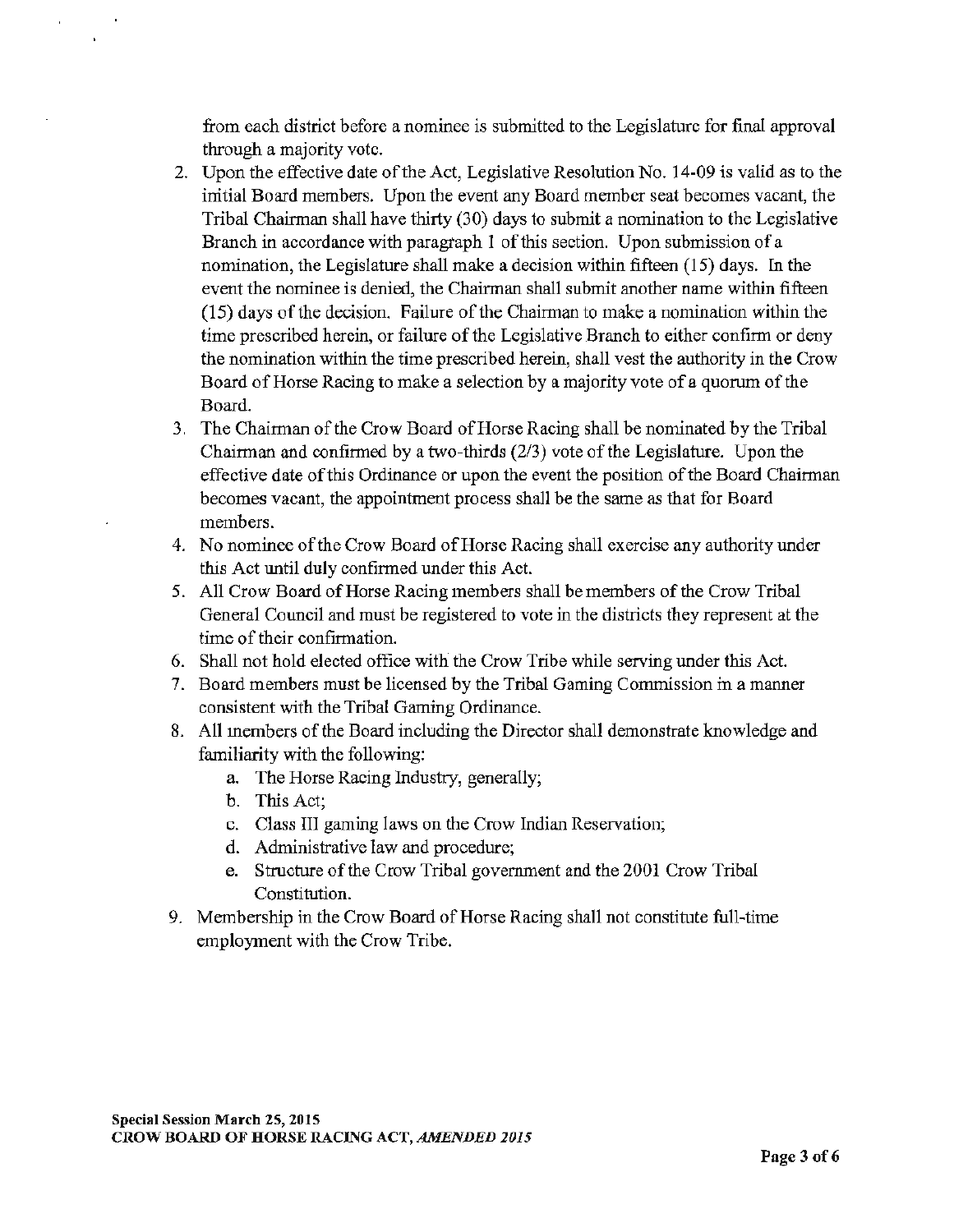from each district before a nominee is submitted to the Legislature for final approval through a majority vote.

- 2. Upon the effective date of the Act, Legislative Resolution No. 14-09 is valid as to the initial Board members. Upon the event any Board member seat becomes vacant, the Tribal Chairman shall have thirty (30) days to submit a nomination to the Legislative Branch in accordance with paragraph I of this section. Upon submission of a nomination, the Legislature shall make a decision within fifteen (15) days. In the event the nominee is denied, the Chairman shall submit another name within fifteen (15) days of the decision. Failure of the Chairman to make a nomination within the time prescribed herein, or failure of the Legislative Branch to either confirm or deny the nomination within the time prescribed herein, shall vest the authority in the Crow Board of Horse Racing to make a selection by a majority vote of a quorum of the Board.
- 3. The Chairman of the Crow Board of Horse Racing shall be nominated by the Tribal Chairman and confirmed by a two-thirds (2/3) vote of the Legislature. Upon the effective date of this Ordinance or upon the event the position of the Board Chairman becomes vacant, the appointment process shall be the same as that for Board members.
- 4. No nominee of the Crow Board of Horse Racing shall exercise any authority under this Act until duly confirmed under this Act.
- 5. All Crow Board of Horse Racing members shall be members of the Crow Tribal General Council and must be registered to vote in the districts they represent at the time of their confirmation.
- 6. Shall not hold elected office with the Crow Tribe while serving under this Act.
- 7. Board members must be licensed by the Tribal Gaming Conunission in a manner consistent with the Tribal Gaming Ordinance.
- 8. All members of the Board including the Director shall demonstrate knowledge and familiarity with the following:
	- a. The Horse Racing Industry, generally;
	- b. This Act;
	- c. Class III gaming laws on the Crow Indian Reservation;
	- d. Administrative law and procedure;
	- e. Structure of the Crow Tribal government and the 2001 Crow Tribal Constitution.
- 9. Membership in the Crow Board of Horse Racing shall not constitute full-time employment with the Crow Tribe.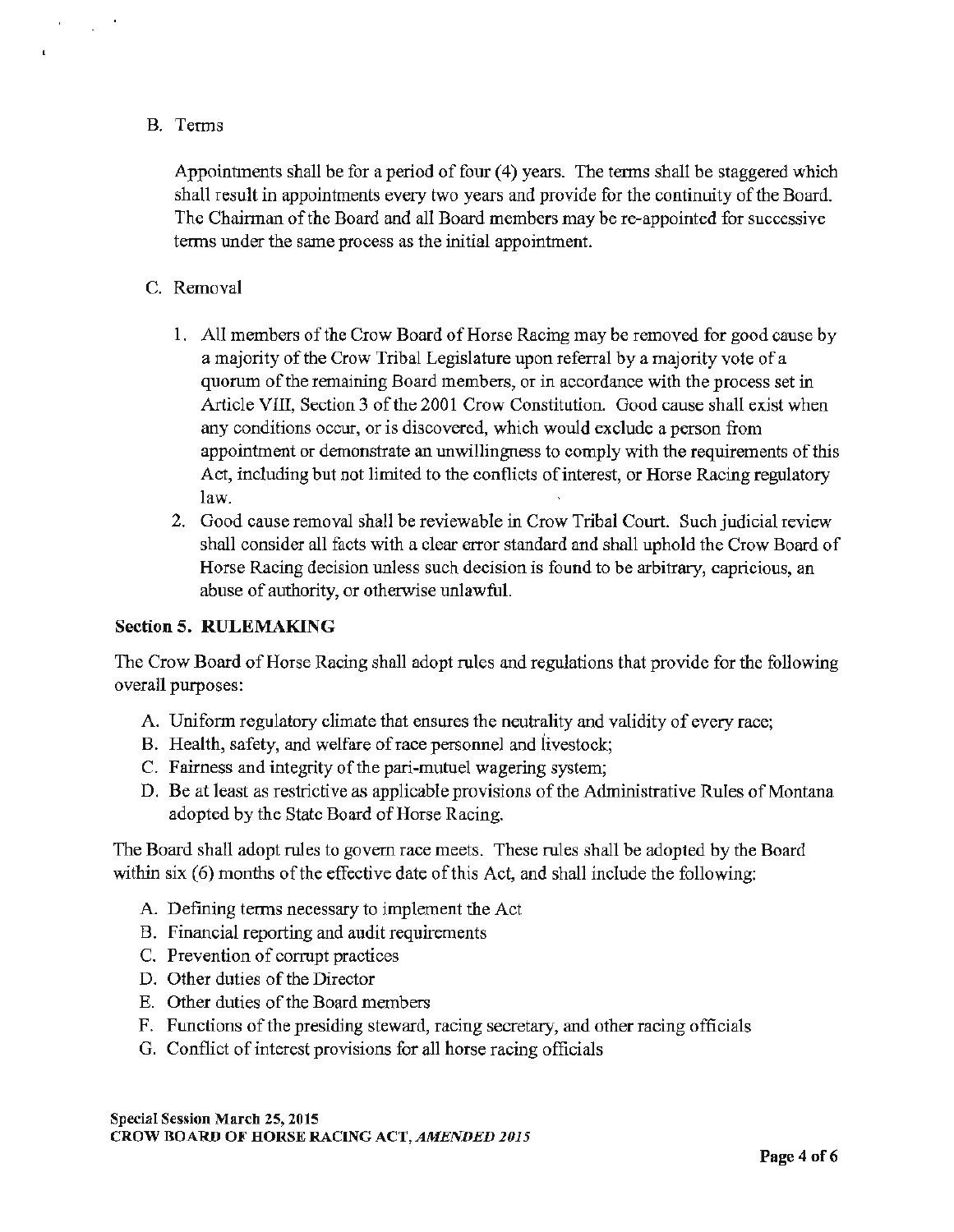## B. Terms

 $\mathbf{r}$ 

 $\mathbf{t}$ 

 $\mathcal{L}_{\mathcal{A}}$ 

Appointments shall be for a period of four (4) years. The terms shall be staggered which shall result in appointments every two years and provide for the continuity of the Board. The Chairman of the Board and all Board members may be re-appointed for successive terms under the same process as the initial appointment.

# C. Removal

- 1. All members of the Crow Board of Horse Racing may be removed for good cause by a majority of the Crow Tribal Legislature upon referral by a majority vote of a quorum of the remaining Board members, or in accordance with the process set in Article VIII, Section 3 of the 2001 Crow Constitution. Good cause shall exist when any conditions occur, or is discovered, which would exclude a person from appointment or demonstrate an unwillingness to comply with the requirements of this Act, including but not limited to the conflicts of interest, or Horse Racing regulatory law.
- 2. Good cause removal shall be reviewable in Crow Tribal Court. Such judicial review shall consider all facts with a clear error standard and shall uphold the Crow Board of Horse Racing decision unless such decision is found to be arbitrary, capricious, an abuse of authority, or otherwise unlawful.

### Section 5. **RULEMAKING**

The Crow Board of Horse Racing shall adopt rules and regulations that provide for the following overall purposes:

- A. Uniform regulatory climate that ensures the neutrality and validity of every race;
- B. Health, safety, and welfare of race personnel and livestock;
- C. Fairness and integrity of the pari-mutuel wagering system;
- D. Be at least as restrictive as applicable provisions of the Administrative Rules of Montana adopted by the State Board of Horse Racing.

The Board shall adopt rules to govern race meets. These rules shall be adopted by the Board within six (6) months of the effective date of this Act, and shall include the following:

- A. Defining terms necessary to implement the Act
- B. Financial reporting and audit requirements
- C. Prevention of cormpt practices
- D. Other duties of the Director
- E. Other duties of the Board members
- F. Functions of the presiding steward, racing secretary, and other racing officials
- G. Conflict of interest provisions for all horse racing officials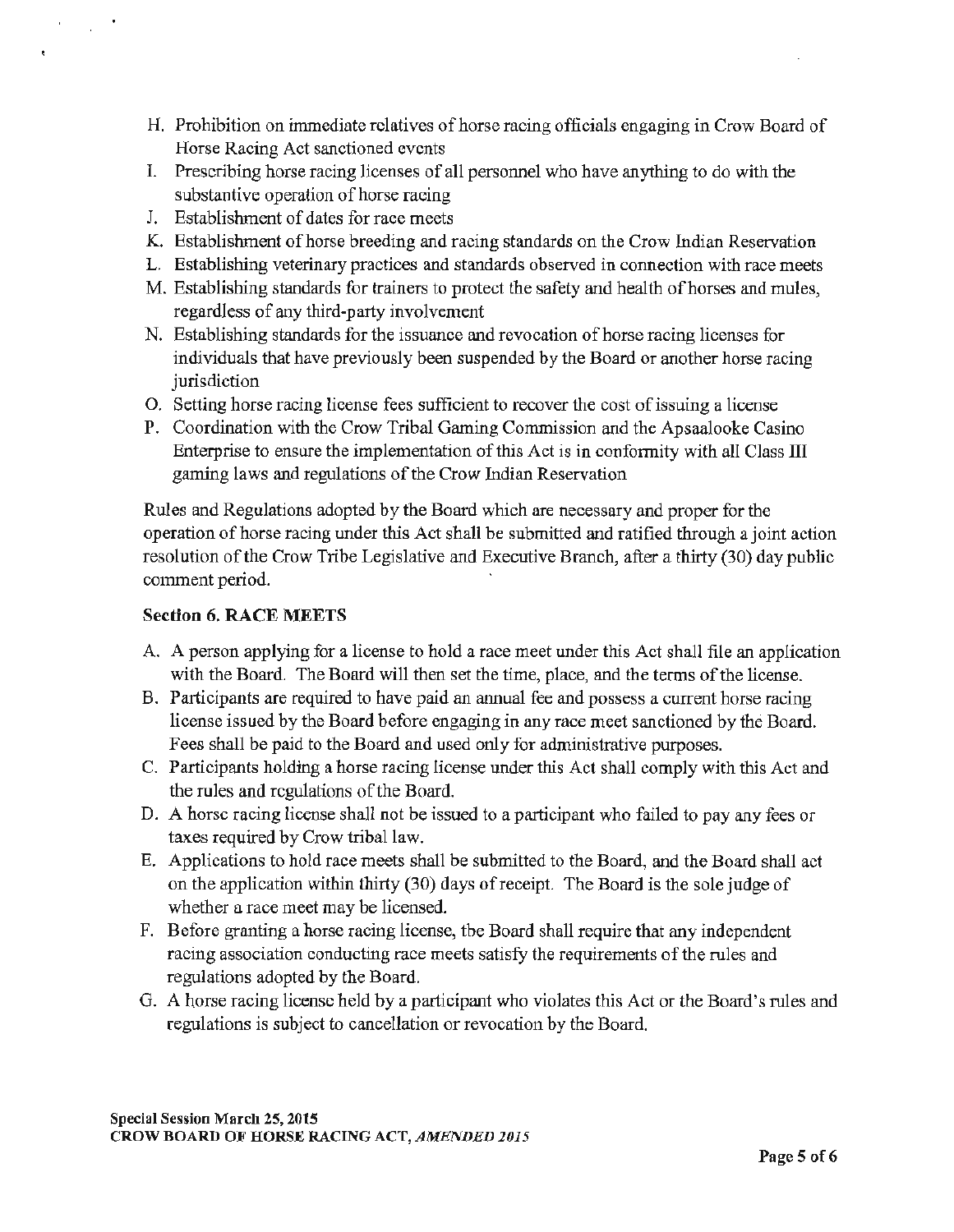- H. Prohibition on innnediate relatives of horse racing officials engaging in Crow Board of Horse Racing Act sanctioned events
- I. Prescribing horse racing licenses of all personnel who have anything to do with the substantive operation of horse racing
- J. Establishment of dates for race meets

 $\mathbf{r}$ 

- K. Establishment of horse breeding and racing standards on the Crow Indian Reservation
- L. Establishing veterinary practices and standards observed in connection with race meets
- M. Establishing standards for trainers to protect the safety and health of horses and mules, regardless of any third-party involvement
- N. Establishing standards for the issuance and revocation of horse racing licenses for individuals that have previously been suspended by the Board or another horse racing jurisdiction
- 0. Setting horse racing license fees sufficient to recover the cost of issuing a license
- P. Coordination with the Crow Tribal Gaming Commission and the Apsaalooke Casino Enterprise to ensure the implementation of this Act is in conformity with all Class III gaming laws and regulations of the Crow Indian Reservation

Rules and Regulations adopted by the Board which are necessary and proper for the operation of horse racing under this Act shall he submitted and ratified through a joint action resolution of the Crow Tribe Legislative and Executive Branch, after a thirty (30) day public comment period.

# Section 6. RACE MEETS

- A. A person applying for a license to hold a race meet under this Act shall file an application with the Board. The Board will then set the time, place, and the terms of the license.
- B. Participants are required to have paid an annual fee and possess a current horse racing license issued by the Board before engaging in any race meet sanctioned by the Board. Fees shall be paid to the Board and used only for administrative purposes.
- C. Participants holding a horse racing license under this Act shall comply with this Act and the rules and regulations of the Board.
- D. A horse racing license shall not be issued to a participant who failed to pay any fees or taxes required by Crow tribal law.
- E. Applications to hold race meets shall be submitted to the Board, and the Board shall act on the application within thirty (30) days ofreceipt. The Board is the sole judge of whether a race meet may be licensed.
- F. Before granting a horse racing license, the Board shall require that any independent racing association conducting race meets satisfy the requirements of the rules and regulations adopted by the Board.
- G. A horse racing license held by a participant who violates this Act or the Board's rules and regulations is subject to cancellation or revocation by the Board.